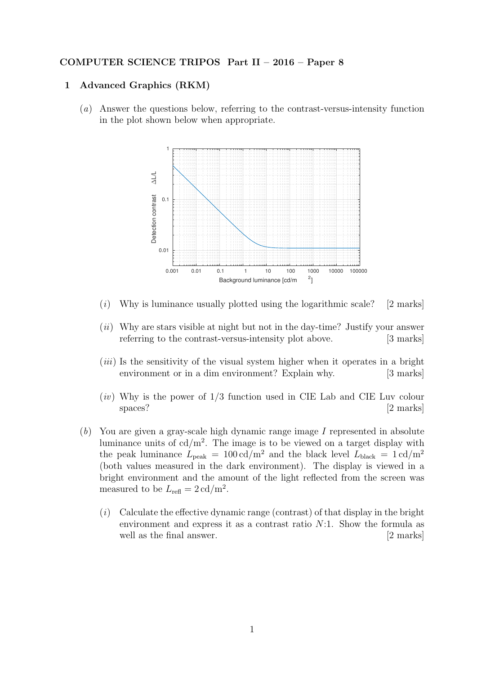## COMPUTER SCIENCE TRIPOS Part II – 2016 – Paper 8

## 1 Advanced Graphics (RKM)

(a) Answer the questions below, referring to the contrast-versus-intensity function in the plot shown below when appropriate.



- $(i)$  Why is luminance usually plotted using the logarithmic scale? [2 marks]
- $(ii)$  Why are stars visible at night but not in the day-time? Justify your answer referring to the contrast-versus-intensity plot above. [3 marks]
- $(iii)$  Is the sensitivity of the visual system higher when it operates in a bright environment or in a dim environment? Explain why. [3 marks]
- $(iv)$  Why is the power of  $1/3$  function used in CIE Lab and CIE Luv colour spaces? [2 marks]
- $(b)$  You are given a gray-scale high dynamic range image I represented in absolute luminance units of  $cd/m^2$ . The image is to be viewed on a target display with the peak luminance  $L_{\text{peak}} = 100 \text{ cd/m}^2$  and the black level  $L_{\text{black}} = 1 \text{ cd/m}^2$ (both values measured in the dark environment). The display is viewed in a bright environment and the amount of the light reflected from the screen was measured to be  $L_{\text{refl}} = 2 \text{ cd/m}^2$ .
	- $(i)$  Calculate the effective dynamic range (contrast) of that display in the bright environment and express it as a contrast ratio  $N:1$ . Show the formula as well as the final answer. [2 marks]